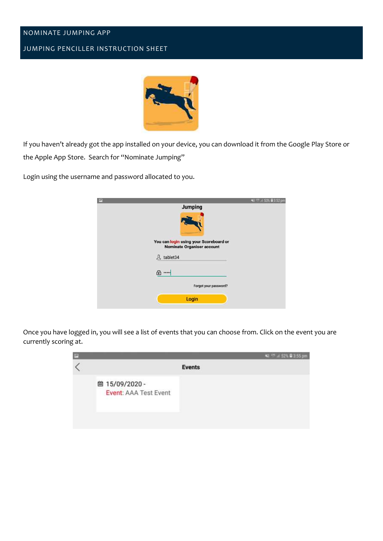## NOMINATE JUMPING APP

## JUMPING PENCILLER INSTRUCTION SHEET



If you haven't already got the app installed on your device, you can download it from the Google Play Store or the Apple App Store. Search for "Nominate Jumping"

Login using the username and password allocated to you.

| m |                                                                             | 53% <b>@</b> 3:52 pm<br>41 |
|---|-----------------------------------------------------------------------------|----------------------------|
|   | <b>Jumping</b>                                                              |                            |
|   |                                                                             |                            |
|   | You can login using your Scoreboard or<br><b>Nominate Organiser account</b> |                            |
|   | 只 tablet34                                                                  |                            |
|   | ⊕ …∣                                                                        |                            |
|   | Forgot your password?                                                       |                            |
|   | Login                                                                       |                            |
|   |                                                                             |                            |

Once you have logged in, you will see a list of events that you can choose from. Click on the event you are currently scoring at.

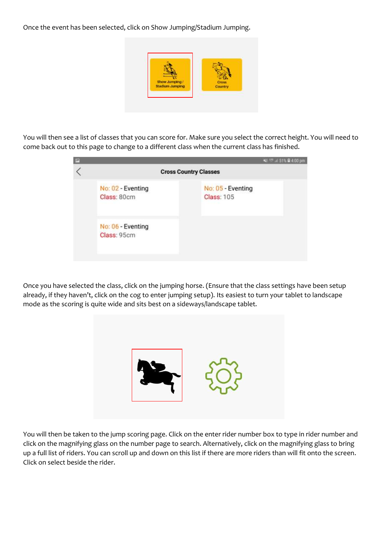Once the event has been selected, click on Show Jumping/Stadium Jumping.



You will then see a list of classes that you can score for. Make sure you select the correct height. You will need to come back out to this page to change to a different class when the current class has finished.

| E |                                  | 当 <sup>116</sup> 4:51% 自4:00 pm        |
|---|----------------------------------|----------------------------------------|
|   |                                  | <b>Cross Country Classes</b>           |
|   | No: 02 - Eventing<br>Class: 80cm | No: 05 - Eventing<br><b>Class: 105</b> |
|   | No: 06 - Eventing<br>Class: 95cm |                                        |

Once you have selected the class, click on the jumping horse. (Ensure that the class settings have been setup already, if they haven't, click on the cog to enter jumping setup). Its easiest to turn your tablet to landscape mode as the scoring is quite wide and sits best on a sideways/landscape tablet.



You will then be taken to the jump scoring page. Click on the enter rider number box to type in rider number and click on the magnifying glass on the number page to search. Alternatively, click on the magnifying glass to bring up a full list of riders. You can scroll up and down on this list if there are more riders than will fit onto the screen. Click on select beside the rider.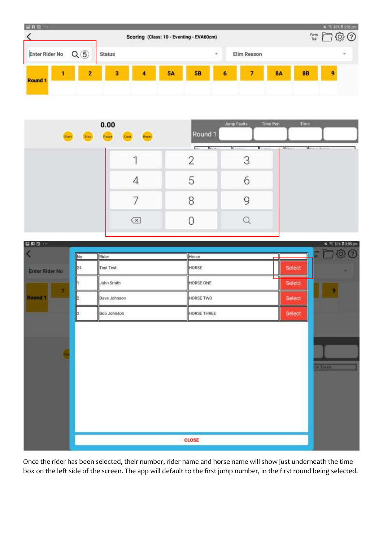

| 0.00<br><b>Рамен</b><br><b>Start</b> | Cont                         | Round <sub>1</sub>                                                                                                                                                                                                                               | Jump Faults | Time Pen<br>Time              |
|--------------------------------------|------------------------------|--------------------------------------------------------------------------------------------------------------------------------------------------------------------------------------------------------------------------------------------------|-------------|-------------------------------|
|                                      |                              | <b>Contract Contract Contract Contract Contract Contract Contract Contract Contract Contract Contract Contract Contract Contract Contract Contract Contract Contract Contract Contract Contract Contract Contract Contract Contr</b><br>$-0.014$ |             | H. Game<br><b>Hyper Yalue</b> |
|                                      |                              | С                                                                                                                                                                                                                                                | O           |                               |
|                                      |                              | 8                                                                                                                                                                                                                                                |             |                               |
|                                      | $\left( \overline{x}\right)$ |                                                                                                                                                                                                                                                  |             |                               |



Once the rider has been selected, their number, rider name and horse name will show just underneath the time box on the left side of the screen. The app will default to the first jump number, in the first round being selected.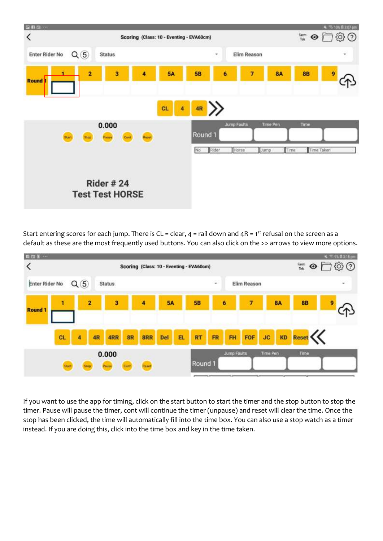

Start entering scores for each jump. There is CL = clear,  $4$  = rail down and  $4R = 1<sup>st</sup>$  refusal on the screen as a default as these are the most frequently used buttons. You can also click on the >> arrows to view more options.



If you want to use the app for timing, click on the start button to start the timer and the stop button to stop the timer. Pause will pause the timer, cont will continue the timer (unpause) and reset will clear the time. Once the stop has been clicked, the time will automatically fill into the time box. You can also use a stop watch as a timer instead. If you are doing this, click into the time box and key in the time taken.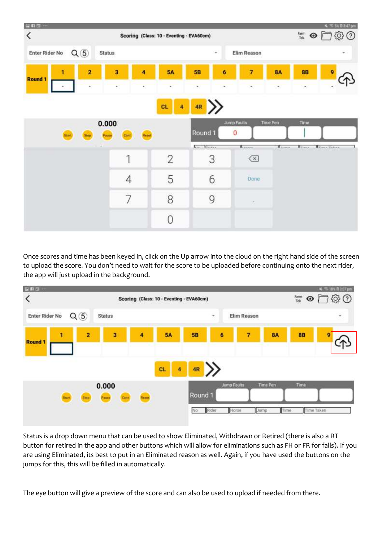

Once scores and time has been keyed in, click on the Up arrow into the cloud on the right hand side of the screen to upload the score. You don't need to wait for the score to be uploaded before continuing onto the next rider, the app will just upload in the background.



Status is a drop down menu that can be used to show Eliminated, Withdrawn or Retired (there is also a RT button for retired in the app and other buttons which will allow for eliminations such as FH or FR for falls). If you are using Eliminated, its best to put in an Eliminated reason as well. Again, if you have used the buttons on the jumps for this, this will be filled in automatically.

The eye button will give a preview of the score and can also be used to upload if needed from there.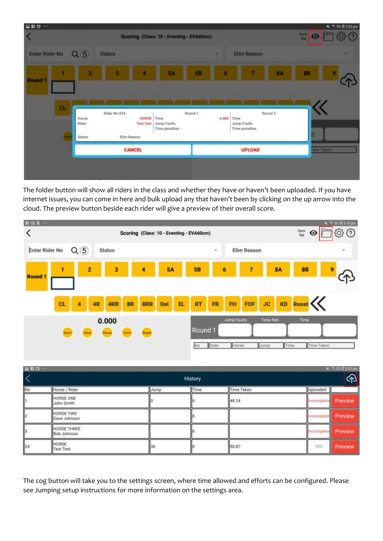| 国前四 …                   |                 |               |                                          |                                                |         |            |               |                    |    | $4 = 96.0325 \text{ pm}$ |  |
|-------------------------|-----------------|---------------|------------------------------------------|------------------------------------------------|---------|------------|---------------|--------------------|----|--------------------------|--|
| $\blacktriangle$        |                 |               | Scoring (Class: 10 - Eventing - EVA60cm) |                                                |         |            |               |                    |    |                          |  |
| Enter Rider No Q (5)    |                 | <b>Status</b> |                                          |                                                |         | ٠          | Elim Reason   |                    |    |                          |  |
| п<br>Round <sub>1</sub> | ż.              | 8             | л                                        | 5A                                             | 58      | 6          | 7             | <b>8A</b>          | 88 | G                        |  |
| GL                      | Horne           | Rider No #24  | <b>HORSE</b> Time                        |                                                | Round 1 | 4.085 Time |               | Round <sub>2</sub> |    |                          |  |
|                         | Rider<br>Status | Elim Reason   |                                          | <b>Test Test</b> Jump Faults<br>Time penalties |         |            |               |                    |    |                          |  |
|                         |                 |               | <b>CANCEL</b>                            |                                                |         |            | <b>UPLOAD</b> | me Tallen:         |    |                          |  |

The folder button will show all riders in the class and whether they have or haven't been uploaded. If you have internet issues, you can come in here and bulk upload any that haven't been by clicking on the up arrow into the cloud. The preview button beside each rider will give a preview of their overall score.



|         | 四日日…<br>≤ 10 83.8 3.33 pm  |      |      |            |            |         |  |  |  |  |
|---------|----------------------------|------|------|------------|------------|---------|--|--|--|--|
| History |                            |      |      |            |            |         |  |  |  |  |
| No      | Horse / Rider              | Jump | Time | Time Taken | Uploaded   |         |  |  |  |  |
|         | HORSE ONE<br>John Smith    |      |      | 48.24      | Incomplete | Preview |  |  |  |  |
| þ2      | HORSE TWO<br>Dave Johnson  |      |      |            | Incomplete | Preview |  |  |  |  |
| þ       | HORSE THREE<br>Bob Johnson |      |      |            | Incomplete | Preview |  |  |  |  |
| 24      | HORSE<br>Test Test         | 136  |      | 50.87      | YES        | Preview |  |  |  |  |

The cog button will take you to the settings screen, where time allowed and efforts can be configured. Please see Jumping setup instructions for more information on the settings area.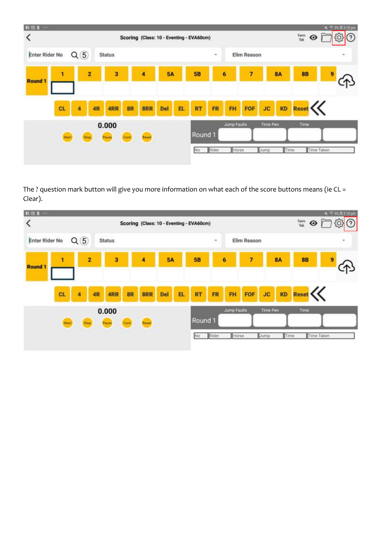

The ? question mark button will give you more information on what each of the score buttons means (ie CL = Clear).